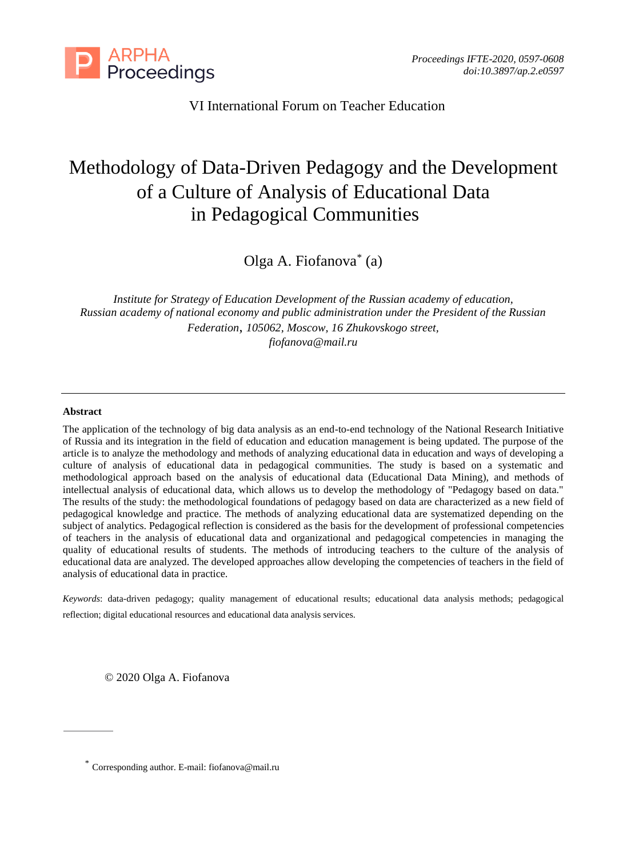

VI International Forum on Teacher Education

# Methodology of Data-Driven Pedagogy and the Development of a Culture of Analysis of Educational Data in Pedagogical Communities

Olga A. Fiofanova\* (a)

*Institute for Strategy of Education Development of the Russian academy of education, Russian academy of national economy and public administration under the President of the Russian Federation*, *105062, Moscow, 16 Zhukovskogo street, [fiofanova@mail.ru](mailto:fiofanova@mail.ru)*

#### **Abstract**

The application of the technology of big data analysis as an end-to-end technology of the National Research Initiative of Russia and its integration in the field of education and education management is being updated. The purpose of the article is to analyze the methodology and methods of analyzing educational data in education and ways of developing a culture of analysis of educational data in pedagogical communities. The study is based on a systematic and methodological approach based on the analysis of educational data (Educational Data Mining), and methods of intellectual analysis of educational data, which allows us to develop the methodology of "Pedagogy based on data." The results of the study: the methodological foundations of pedagogy based on data are characterized as a new field of pedagogical knowledge and practice. The methods of analyzing educational data are systematized depending on the subject of analytics. Pedagogical reflection is considered as the basis for the development of professional competencies of teachers in the analysis of educational data and organizational and pedagogical competencies in managing the quality of educational results of students. The methods of introducing teachers to the culture of the analysis of educational data are analyzed. The developed approaches allow developing the competencies of teachers in the field of analysis of educational data in practice.

*Keywords*: data-driven pedagogy; quality management of educational results; educational data analysis methods; pedagogical reflection; digital educational resources and educational data analysis services.

© 2020 Olga A. Fiofanova

<sup>\*</sup> Corresponding author. E-mail: fiofanova@mail.ru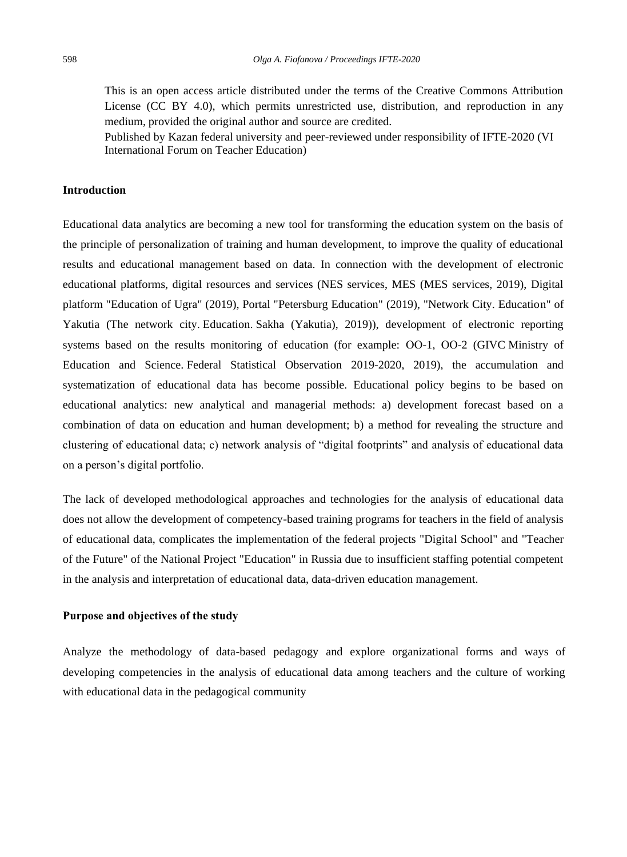This is an open access article distributed under the terms of the Creative Commons Attribution License (CC BY 4.0), which permits unrestricted use, distribution, and reproduction in any medium, provided the original author and source are credited.

Published by Kazan federal university and peer-reviewed under responsibility of IFTE-2020 (VI International Forum on Teacher Education)

## **Introduction**

Educational data analytics are becoming a new tool for transforming the education system on the basis of the principle of personalization of training and human development, to improve the quality of educational results and educational management based on data. In connection with the development of electronic educational platforms, digital resources and services (NES services, MES (MES services, 2019), Digital platform "Education of Ugra" (2019), Portal "Petersburg Education" (2019), "Network City. Education" of Yakutia (The network city. Education. Sakha (Yakutia), 2019)), development of electronic reporting systems based on the results monitoring of education (for example: ОО-1, ОО-2 (GIVC Ministry of Education and Science. Federal Statistical Observation 2019-2020, 2019), the accumulation and systematization of educational data has become possible. Educational policy begins to be based on educational analytics: new analytical and managerial methods: a) development forecast based on a combination of data on education and human development; b) a method for revealing the structure and clustering of educational data; c) network analysis of "digital footprints" and analysis of educational data on a person's digital portfolio.

The lack of developed methodological approaches and technologies for the analysis of educational data does not allow the development of competency-based training programs for teachers in the field of analysis of educational data, complicates the implementation of the federal projects "Digital School" and "Teacher of the Future" of the National Project "Education" in Russia due to insufficient staffing potential competent in the analysis and interpretation of educational data, data-driven education management.

#### **Purpose and objectives of the study**

Analyze the methodology of data-based pedagogy and explore organizational forms and ways of developing competencies in the analysis of educational data among teachers and the culture of working with educational data in the pedagogical community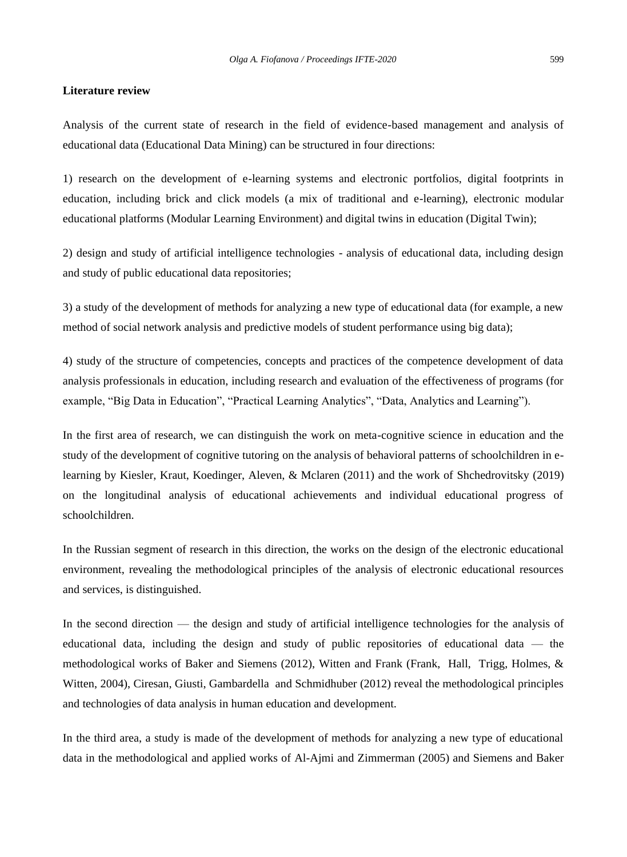#### **Literature review**

Analysis of the current state of research in the field of evidence-based management and analysis of educational data (Educational Data Mining) can be structured in four directions:

1) research on the development of e-learning systems and electronic portfolios, digital footprints in education, including brick and click models (a mix of traditional and e-learning), electronic modular educational platforms (Modular Learning Environment) and digital twins in education (Digital Twin);

2) design and study of artificial intelligence technologies - analysis of educational data, including design and study of public educational data repositories;

3) a study of the development of methods for analyzing a new type of educational data (for example, a new method of social network analysis and predictive models of student performance using big data);

4) study of the structure of competencies, concepts and practices of the competence development of data analysis professionals in education, including research and evaluation of the effectiveness of programs (for example, "Big Data in Education", "Practical Learning Analytics", "Data, Analytics and Learning").

In the first area of research, we can distinguish the work on meta-cognitive science in education and the study of the development of cognitive tutoring on the analysis of behavioral patterns of schoolchildren in elearning by Kiesler, Kraut, Koedinger, Aleven, & Mclaren (2011) and the work of Shchedrovitsky (2019) on the longitudinal analysis of educational achievements and individual educational progress of schoolchildren.

In the Russian segment of research in this direction, the works on the design of the electronic educational environment, revealing the methodological principles of the analysis of electronic educational resources and services, is distinguished.

In the second direction — the design and study of artificial intelligence technologies for the analysis of educational data, including the design and study of public repositories of educational data — the methodological works of Baker and Siemens (2012), Witten and Frank (Frank, Hall, Trigg, Holmes, & Witten, 2004), Ciresan, Giusti, Gambardella and Schmidhuber (2012) reveal the methodological principles and technologies of data analysis in human education and development.

In the third area, a study is made of the development of methods for analyzing a new type of educational data in the methodological and applied works of Al-Ajmi and Zimmerman (2005) and Siemens and Baker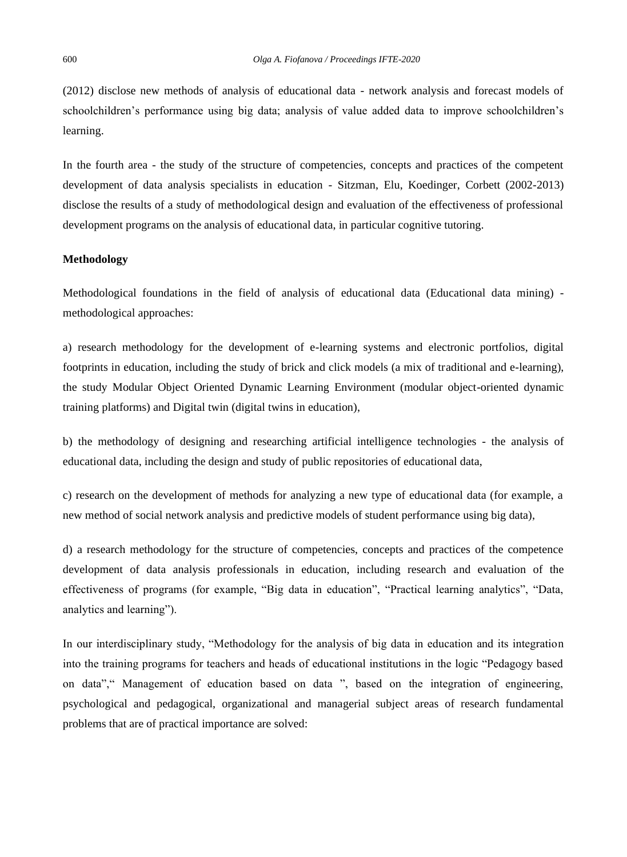(2012) disclose new methods of analysis of educational data - network analysis and forecast models of schoolchildren's performance using big data; analysis of value added data to improve schoolchildren's learning.

In the fourth area - the study of the structure of competencies, concepts and practices of the competent development of data analysis specialists in education - Sitzman, Elu, Koedinger, Corbett (2002-2013) disclose the results of a study of methodological design and evaluation of the effectiveness of professional development programs on the analysis of educational data, in particular cognitive tutoring.

#### **Methodology**

Methodological foundations in the field of analysis of educational data (Educational data mining) methodological approaches:

a) research methodology for the development of e-learning systems and electronic portfolios, digital footprints in education, including the study of brick and click models (a mix of traditional and e-learning), the study Modular Object Oriented Dynamic Learning Environment (modular object-oriented dynamic training platforms) and Digital twin (digital twins in education),

b) the methodology of designing and researching artificial intelligence technologies - the analysis of educational data, including the design and study of public repositories of educational data,

c) research on the development of methods for analyzing a new type of educational data (for example, a new method of social network analysis and predictive models of student performance using big data),

d) a research methodology for the structure of competencies, concepts and practices of the competence development of data analysis professionals in education, including research and evaluation of the effectiveness of programs (for example, "Big data in education", "Practical learning analytics", "Data, analytics and learning").

In our interdisciplinary study, "Methodology for the analysis of big data in education and its integration into the training programs for teachers and heads of educational institutions in the logic "Pedagogy based on data"," Management of education based on data ", based on the integration of engineering, psychological and pedagogical, organizational and managerial subject areas of research fundamental problems that are of practical importance are solved: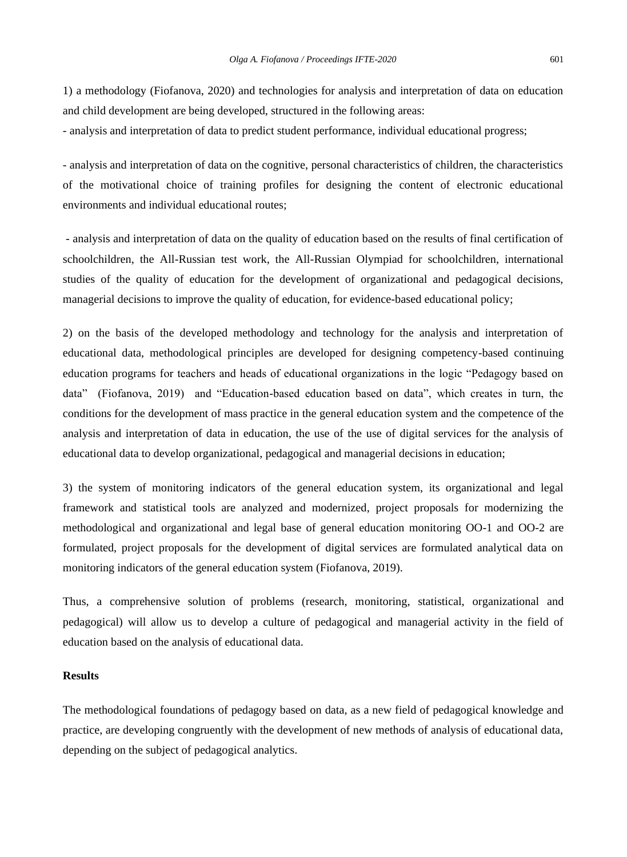1) a methodology (Fiofanova, 2020) and technologies for analysis and interpretation of data on education and child development are being developed, structured in the following areas:

- analysis and interpretation of data to predict student performance, individual educational progress;

- analysis and interpretation of data on the cognitive, personal characteristics of children, the characteristics of the motivational choice of training profiles for designing the content of electronic educational environments and individual educational routes;

- analysis and interpretation of data on the quality of education based on the results of final certification of schoolchildren, the All-Russian test work, the All-Russian Olympiad for schoolchildren, international studies of the quality of education for the development of organizational and pedagogical decisions, managerial decisions to improve the quality of education, for evidence-based educational policy;

2) on the basis of the developed methodology and technology for the analysis and interpretation of educational data, methodological principles are developed for designing competency-based continuing education programs for teachers and heads of educational organizations in the logic "Pedagogy based on data" (Fiofanova, 2019) and "Education-based education based on data", which creates in turn, the conditions for the development of mass practice in the general education system and the competence of the analysis and interpretation of data in education, the use of the use of digital services for the analysis of educational data to develop organizational, pedagogical and managerial decisions in education;

3) the system of monitoring indicators of the general education system, its organizational and legal framework and statistical tools are analyzed and modernized, project proposals for modernizing the methodological and organizational and legal base of general education monitoring OO-1 and OO-2 are formulated, project proposals for the development of digital services are formulated analytical data on monitoring indicators of the general education system (Fiofanova, 2019).

Thus, a comprehensive solution of problems (research, monitoring, statistical, organizational and pedagogical) will allow us to develop a culture of pedagogical and managerial activity in the field of education based on the analysis of educational data.

### **Results**

The methodological foundations of pedagogy based on data, as a new field of pedagogical knowledge and practice, are developing congruently with the development of new methods of analysis of educational data, depending on the subject of pedagogical analytics.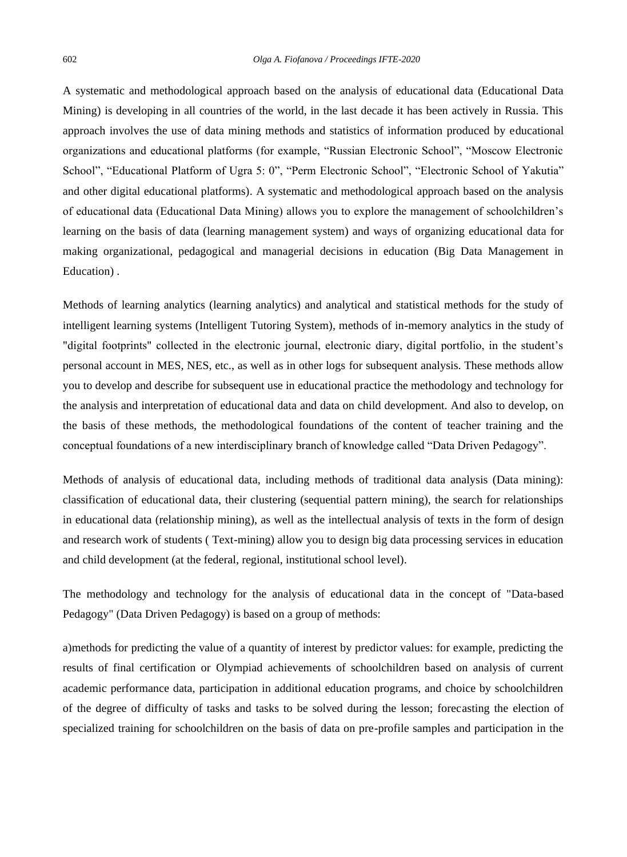A systematic and methodological approach based on the analysis of educational data (Educational Data Mining) is developing in all countries of the world, in the last decade it has been actively in Russia. This approach involves the use of data mining methods and statistics of information produced by educational organizations and educational platforms (for example, "Russian Electronic School", "Moscow Electronic School", "Educational Platform of Ugra 5: 0", "Perm Electronic School", "Electronic School of Yakutia" and other digital educational platforms). A systematic and methodological approach based on the analysis of educational data (Educational Data Mining) allows you to explore the management of schoolchildren's learning on the basis of data (learning management system) and ways of organizing educational data for making organizational, pedagogical and managerial decisions in education (Big Data Management in Education) .

Methods of learning analytics (learning analytics) and analytical and statistical methods for the study of intelligent learning systems (Intelligent Tutoring System), methods of in-memory analytics in the study of "digital footprints" collected in the electronic journal, electronic diary, digital portfolio, in the student's personal account in MES, NES, etc., as well as in other logs for subsequent analysis. These methods allow you to develop and describe for subsequent use in educational practice the methodology and technology for the analysis and interpretation of educational data and data on child development. And also to develop, on the basis of these methods, the methodological foundations of the content of teacher training and the conceptual foundations of a new interdisciplinary branch of knowledge called "Data Driven Pedagogy".

Methods of analysis of educational data, including methods of traditional data analysis (Data mining): classification of educational data, their clustering (sequential pattern mining), the search for relationships in educational data (relationship mining), as well as the intellectual analysis of texts in the form of design and research work of students ( Text-mining) allow you to design big data processing services in education and child development (at the federal, regional, institutional school level).

The methodology and technology for the analysis of educational data in the concept of "Data-based Pedagogy" (Data Driven Pedagogy) is based on a group of methods:

a)methods for predicting the value of a quantity of interest by predictor values: for example, predicting the results of final certification or Olympiad achievements of schoolchildren based on analysis of current academic performance data, participation in additional education programs, and choice by schoolchildren of the degree of difficulty of tasks and tasks to be solved during the lesson; forecasting the election of specialized training for schoolchildren on the basis of data on pre-profile samples and participation in the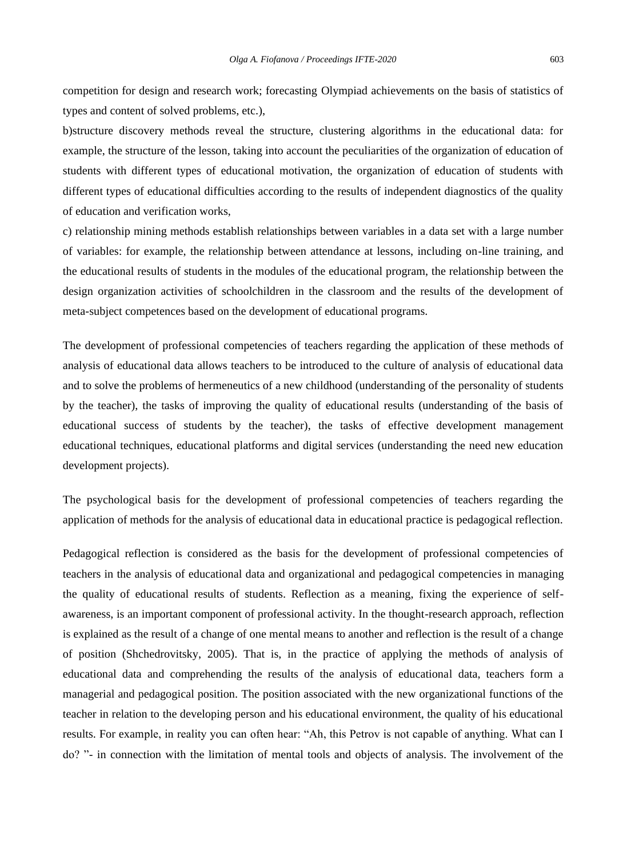competition for design and research work; forecasting Olympiad achievements on the basis of statistics of types and content of solved problems, etc.),

b)structure discovery methods reveal the structure, clustering algorithms in the educational data: for example, the structure of the lesson, taking into account the peculiarities of the organization of education of students with different types of educational motivation, the organization of education of students with different types of educational difficulties according to the results of independent diagnostics of the quality of education and verification works,

c) relationship mining methods establish relationships between variables in a data set with a large number of variables: for example, the relationship between attendance at lessons, including on-line training, and the educational results of students in the modules of the educational program, the relationship between the design organization activities of schoolchildren in the classroom and the results of the development of meta-subject competences based on the development of educational programs.

The development of professional competencies of teachers regarding the application of these methods of analysis of educational data allows teachers to be introduced to the culture of analysis of educational data and to solve the problems of hermeneutics of a new childhood (understanding of the personality of students by the teacher), the tasks of improving the quality of educational results (understanding of the basis of educational success of students by the teacher), the tasks of effective development management educational techniques, educational platforms and digital services (understanding the need new education development projects).

The psychological basis for the development of professional competencies of teachers regarding the application of methods for the analysis of educational data in educational practice is pedagogical reflection.

Pedagogical reflection is considered as the basis for the development of professional competencies of teachers in the analysis of educational data and organizational and pedagogical competencies in managing the quality of educational results of students. Reflection as a meaning, fixing the experience of selfawareness, is an important component of professional activity. In the thought-research approach, reflection is explained as the result of a change of one mental means to another and reflection is the result of a change of position (Shchedrovitsky, 2005). That is, in the practice of applying the methods of analysis of educational data and comprehending the results of the analysis of educational data, teachers form a managerial and pedagogical position. The position associated with the new organizational functions of the teacher in relation to the developing person and his educational environment, the quality of his educational results. For example, in reality you can often hear: "Ah, this Petrov is not capable of anything. What can I do? "- in connection with the limitation of mental tools and objects of analysis. The involvement of the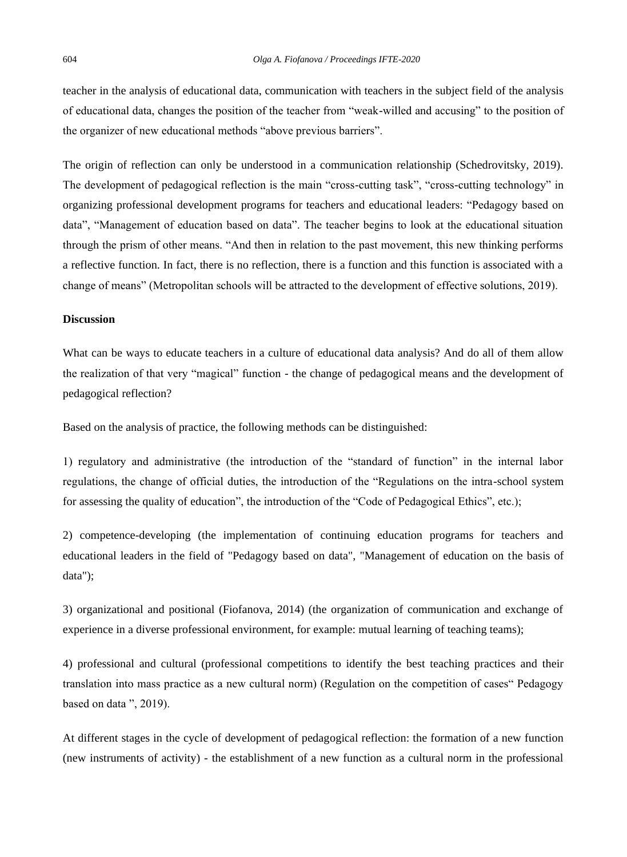teacher in the analysis of educational data, communication with teachers in the subject field of the analysis of educational data, changes the position of the teacher from "weak-willed and accusing" to the position of the organizer of new educational methods "above previous barriers".

The origin of reflection can only be understood in a communication relationship (Schedrovitsky, 2019). The development of pedagogical reflection is the main "cross-cutting task", "cross-cutting technology" in organizing professional development programs for teachers and educational leaders: "Pedagogy based on data", "Management of education based on data". The teacher begins to look at the educational situation through the prism of other means. "And then in relation to the past movement, this new thinking performs a reflective function. In fact, there is no reflection, there is a function and this function is associated with a change of means" (Metropolitan schools will be attracted to the development of effective solutions, 2019).

### **Discussion**

What can be ways to educate teachers in a culture of educational data analysis? And do all of them allow the realization of that very "magical" function - the change of pedagogical means and the development of pedagogical reflection?

Based on the analysis of practice, the following methods can be distinguished:

1) regulatory and administrative (the introduction of the "standard of function" in the internal labor regulations, the change of official duties, the introduction of the "Regulations on the intra-school system for assessing the quality of education", the introduction of the "Code of Pedagogical Ethics", etc.);

2) competence-developing (the implementation of continuing education programs for teachers and educational leaders in the field of "Pedagogy based on data", "Management of education on the basis of data");

3) organizational and positional (Fiofanova, 2014) (the organization of communication and exchange of experience in a diverse professional environment, for example: mutual learning of teaching teams);

4) professional and cultural (professional competitions to identify the best teaching practices and their translation into mass practice as a new cultural norm) (Regulation on the competition of cases" Pedagogy based on data ", 2019).

At different stages in the cycle of development of pedagogical reflection: the formation of a new function (new instruments of activity) - the establishment of a new function as a cultural norm in the professional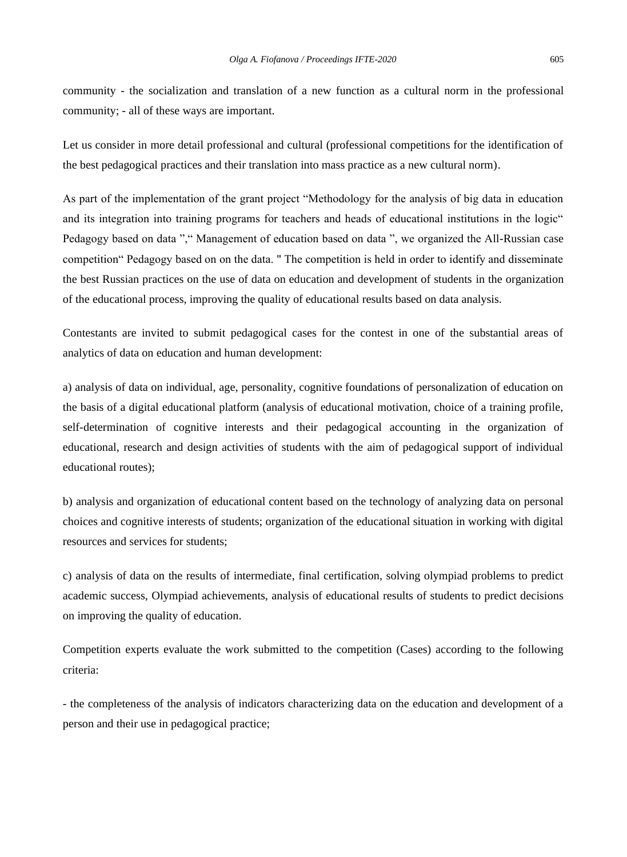community - the socialization and translation of a new function as a cultural norm in the professional community; - all of these ways are important.

Let us consider in more detail professional and cultural (professional competitions for the identification of the best pedagogical practices and their translation into mass practice as a new cultural norm).

As part of the implementation of the grant project "Methodology for the analysis of big data in education and its integration into training programs for teachers and heads of educational institutions in the logic" Pedagogy based on data "," Management of education based on data ", we organized the All-Russian case competition" Pedagogy based on on the data. " The competition is held in order to identify and disseminate the best Russian practices on the use of data on education and development of students in the organization of the educational process, improving the quality of educational results based on data analysis.

Contestants are invited to submit pedagogical cases for the contest in one of the substantial areas of analytics of data on education and human development:

a) analysis of data on individual, age, personality, cognitive foundations of personalization of education on the basis of a digital educational platform (analysis of educational motivation, choice of a training profile, self-determination of cognitive interests and their pedagogical accounting in the organization of educational, research and design activities of students with the aim of pedagogical support of individual educational routes);

b) analysis and organization of educational content based on the technology of analyzing data on personal choices and cognitive interests of students; organization of the educational situation in working with digital resources and services for students;

c) analysis of data on the results of intermediate, final certification, solving olympiad problems to predict academic success, Olympiad achievements, analysis of educational results of students to predict decisions on improving the quality of education.

Competition experts evaluate the work submitted to the competition (Cases) according to the following criteria:

- the completeness of the analysis of indicators characterizing data on the education and development of a person and their use in pedagogical practice;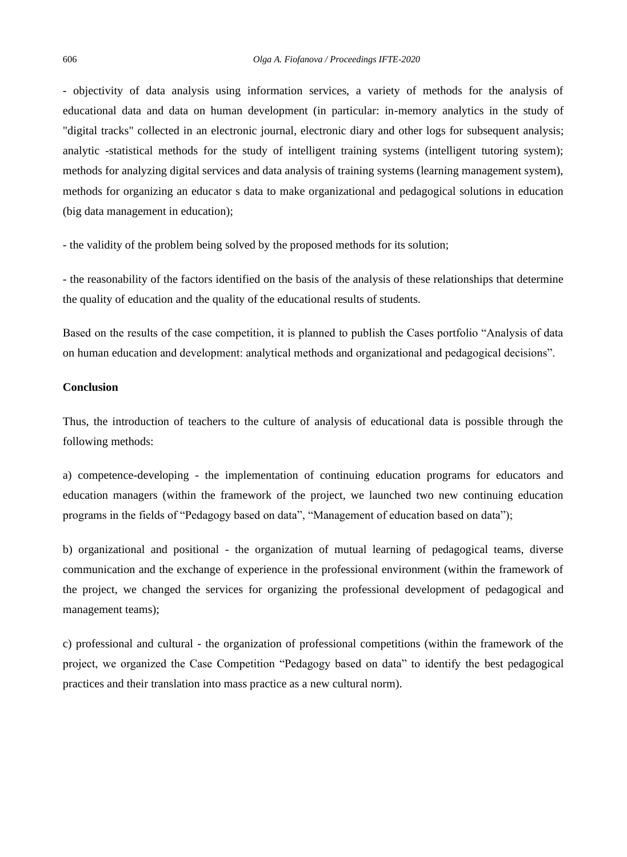- objectivity of data analysis using information services, a variety of methods for the analysis of educational data and data on human development (in particular: in-memory analytics in the study of "digital tracks" collected in an electronic journal, electronic diary and other logs for subsequent analysis; analytic -statistical methods for the study of intelligent training systems (intelligent tutoring system); methods for analyzing digital services and data analysis of training systems (learning management system), methods for organizing an educator s data to make organizational and pedagogical solutions in education (big data management in education);

- the validity of the problem being solved by the proposed methods for its solution;

- the reasonability of the factors identified on the basis of the analysis of these relationships that determine the quality of education and the quality of the educational results of students.

Based on the results of the case competition, it is planned to publish the Cases portfolio "Analysis of data on human education and development: analytical methods and organizational and pedagogical decisions".

#### **Conclusion**

Thus, the introduction of teachers to the culture of analysis of educational data is possible through the following methods:

a) competence-developing - the implementation of continuing education programs for educators and education managers (within the framework of the project, we launched two new continuing education programs in the fields of "Pedagogy based on data", "Management of education based on data");

b) organizational and positional - the organization of mutual learning of pedagogical teams, diverse communication and the exchange of experience in the professional environment (within the framework of the project, we changed the services for organizing the professional development of pedagogical and management teams);

c) professional and cultural - the organization of professional competitions (within the framework of the project, we organized the Case Competition "Pedagogy based on data" to identify the best pedagogical practices and their translation into mass practice as a new cultural norm).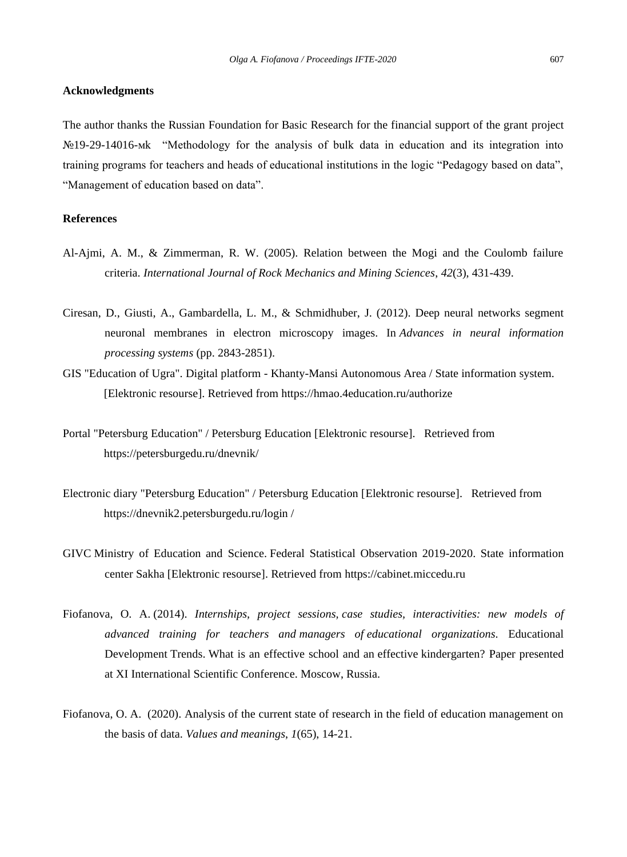#### **Acknowledgments**

The author thanks the Russian Foundation for Basic Research for the financial support of the grant project №19-29-14016-мk "Methodology for the analysis of bulk data in education and its integration into training programs for teachers and heads of educational institutions in the logic "Pedagogy based on data", "Management of education based on data".

# **References**

- Al-Ajmi, A. M., & Zimmerman, R. W. (2005). Relation between the Mogi and the Coulomb failure criteria. *International Journal of Rock Mechanics and Mining Sciences*, *42*(3), 431-439.
- Ciresan, D., Giusti, A., Gambardella, L. M., & Schmidhuber, J. (2012). Deep neural networks segment neuronal membranes in electron microscopy images. In *Advances in neural information processing systems* (pp. 2843-2851).
- GIS "Education of Ugra". Digital platform Khanty-Mansi Autonomous Area / State information system. [Elektronic resourse]. Retrieved from <https://hmao.4education.ru/authorize>
- Portal "Petersburg Education" / Petersburg Education [Elektronic resourse]. Retrieved from https://petersburgedu.ru/dnevnik/
- Electronic diary "Petersburg Education" / Petersburg Education [Elektronic resourse]. Retrieved from https://dnevnik2.petersburgedu.ru/login /
- GIVC Ministry of Education and Science. Federal Statistical Observation 2019-2020. State information center Sakha [Elektronic resourse]. Retrieved from [https://cabinet.miccedu.ru](https://translate.google.com/translate?hl=ru&prev=_t&sl=ru&tl=en&u=https://cabinet.miccedu.ru)
- Fiofanova, O. A. (2014). *Internships, project sessions, case studies, interactivities: new models of advanced training for teachers and managers of educational organizations.* Educational Development Trends. What is an effective school and an effective kindergarten? Paper presented at XI International Scientific Conference. Moscow, Russia.
- Fiofanova, O. A. (2020). Analysis of the current state of research in the field of education management on the basis of data. *Values and meanings*, *1*(65), 14-21.